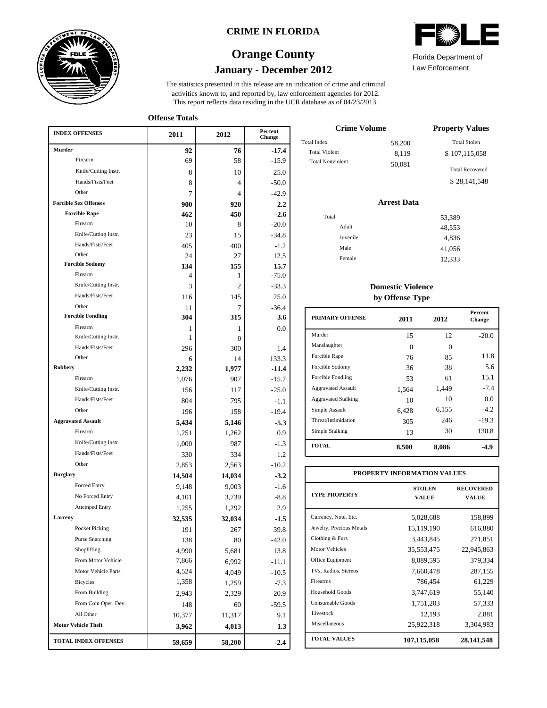

### **CRIME IN FLORIDA**

## **January - December 2012 Orange County**

This report reflects data residing in the UCR database as of 04/23/2013. activities known to, and reported by, law enforcement agencies for 2012. The statistics presented in this release are an indication of crime and criminal

**Offense Totals**

| <b>INDEX OFFENSES</b>        | 2011   | 2012   | Percent<br>Change |
|------------------------------|--------|--------|-------------------|
| Murder                       | 92     | 76     | $-17.4$           |
| Firearm                      | 69     | 58     | $-15.9$           |
| Knife/Cutting Instr.         | 8      | 10     | 25.0              |
| Hands/Fists/Feet             | 8      | 4      | $-50.0$           |
| Other                        | 7      | 4      | $-42.9$           |
| <b>Forcible Sex Offenses</b> | 900    | 920    | $2.2\,$           |
| <b>Forcible Rape</b>         | 462    | 450    | $-2.6$            |
| Firearm                      | 10     | 8      | $-20.0$           |
| Knife/Cutting Instr.         | 23     | 15     | $-34.8$           |
| Hands/Fists/Feet             | 405    | 400    | $-1.2$            |
| Other                        | 24     | 27     | 12.5              |
| <b>Forcible Sodomy</b>       | 134    | 155    | 15.7              |
| Firearm                      | 4      | 1      | $-75.0$           |
| Knife/Cutting Instr.         | 3      | 2      | $-33.3$           |
| Hands/Fists/Feet             | 116    | 145    | 25.0              |
| Other                        | 11     | 7      | $-36.4$           |
| <b>Forcible Fondling</b>     | 304    | 315    | 3.6               |
| Firearm                      | 1      | 1      | 0.0               |
| Knife/Cutting Instr.         | 1      | 0      |                   |
| Hands/Fists/Feet             | 296    | 300    | 1.4               |
| Other                        | 6      | 14     | 133.3             |
| Robbery<br>Firearm           | 2,232  | 1,977  | $-11.4$           |
|                              | 1,076  | 907    | $-15.7$           |
| Knife/Cutting Instr.         | 156    | 117    | $-25.0$           |
| Hands/Fists/Feet             | 804    | 795    | $-1.1$            |
| Other                        | 196    | 158    | $-19.4$           |
| <b>Aggravated Assault</b>    | 5,434  | 5,146  | $-5.3$            |
| Firearm                      | 1,251  | 1,262  | 0.9               |
| Knife/Cutting Instr.         | 1,000  | 987    | $-1.3$            |
| Hands/Fists/Feet             | 330    | 334    | 1.2               |
| Other                        | 2,853  | 2,563  | $-10.2$           |
| <b>Burglary</b>              | 14,504 | 14,034 | $-3.2$            |
| Forced Entry                 | 9,148  | 9,003  | $-1.6$            |
| No Forced Entry              | 4,101  | 3,739  | $-8.8$            |
| <b>Attemped Entry</b>        | 1,255  | 1,292  | 2.9               |
| Larceny                      | 32,535 | 32,034 | $-1.5$            |
| Pocket Picking               | 191    | 267    | 39.8              |
| <b>Purse Snatching</b>       | 138    | 80     | -42.0             |
| Shoplifting                  | 4,990  | 5,681  | 13.8              |
| From Motor Vehicle           | 7,866  | 6,992  | $-11.1$           |
| Motor Vehicle Parts          | 4,524  | 4,049  | $-10.5$           |
| Bicycles                     | 1,358  | 1,259  | $-7.3$            |
| From Building                | 2,943  | 2,329  | $-20.9$           |
| From Coin Oper. Dev.         | 148    | 60     | $-59.5$           |
| All Other                    | 10,377 | 11,317 | 9.1               |
| <b>Motor Vehicle Theft</b>   | 3,962  | 4,013  | 1.3               |
| TOTAL INDEX OFFENSES         | 59,659 | 58,200 | $-2.4$            |

| Crime Volume            |        | <b>Property Values</b> |
|-------------------------|--------|------------------------|
| Total Index             | 58,200 | <b>Total Stolen</b>    |
| <b>Total Violent</b>    | 8,119  | \$107,115,058          |
| <b>Total Nonviolent</b> | 50,081 | <b>Total Recovered</b> |

\$ 28,141,548

## **Arrest Data**

| Total |          | 53,389 |
|-------|----------|--------|
|       | Adult    | 48,553 |
|       | Juvenile | 4,836  |
|       | Male     | 41,056 |
|       | Female   | 12,333 |

### **Domestic Violence by Offense Type**

| <b>PRIMARY OFFENSE</b>     | 2011     | 2012     | <b>Percent</b><br>Change |
|----------------------------|----------|----------|--------------------------|
| Murder                     | 15       | 12       | $-20.0$                  |
| Manslaughter               | $\Omega$ | $\Omega$ |                          |
| Forcible Rape              | 76       | 85       | 11.8                     |
| Forcible Sodomy            | 36       | 38       | 5.6                      |
| Forcible Fondling          | 53       | 61       | 15.1                     |
| <b>Aggravated Assault</b>  | 1.564    | 1,449    | $-7.4$                   |
| <b>Aggravated Stalking</b> | 10       | 10       | 0.0                      |
| Simple Assault             | 6.428    | 6,155    | $-4.2$                   |
| Threat/Intimidation        | 305      | 246      | $-19.3$                  |
| Simple Stalking            | 13       | 30       | 130.8                    |
| <b>TOTAL</b>               | 8,500    | 8,086    | -4.9                     |

| PROPERTY INFORMATION VALUES |                               |                           |  |  |  |  |  |
|-----------------------------|-------------------------------|---------------------------|--|--|--|--|--|
| <b>TYPE PROPERTY</b>        | <b>STOLEN</b><br><b>VALUE</b> | <b>RECOVERED</b><br>VALUE |  |  |  |  |  |
| Currency, Note, Etc.        | 5,028,688                     | 158,899                   |  |  |  |  |  |
| Jewelry, Precious Metals    | 15,119,190                    | 616,880                   |  |  |  |  |  |
| Clothing & Furs             | 3,443,845                     | 271,851                   |  |  |  |  |  |
| <b>Motor Vehicles</b>       | 35,553,475                    | 22,945,863                |  |  |  |  |  |
| Office Equipment            | 8,089,595                     | 379,334                   |  |  |  |  |  |
| TVs, Radios, Stereos        | 7,660,478                     | 287,155                   |  |  |  |  |  |
| Firearms                    | 786,454                       | 61,229                    |  |  |  |  |  |
| Household Goods             | 3,747,619                     | 55,140                    |  |  |  |  |  |
| Consumable Goods            | 1,751,203                     | 57,333                    |  |  |  |  |  |
| Livestock                   | 12,193                        | 2,881                     |  |  |  |  |  |
| Miscellaneous               | 25,922,318                    | 3,304,983                 |  |  |  |  |  |
| <b>TOTAL VALUES</b>         | 107,115,058                   | 28, 141, 548              |  |  |  |  |  |



Law Enforcement Florida Department of